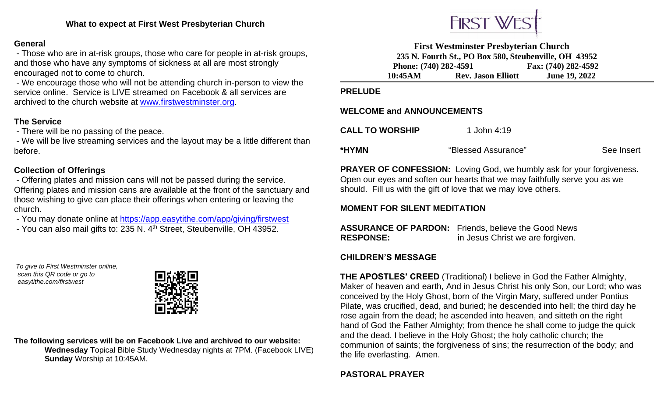## **General**

- Those who are in at-risk groups, those who care for people in at-risk groups, and those who have any symptoms of sickness at all are most strongly encouraged not to come to church.

- We encourage those who will not be attending church in-person to view the service online. Service is LIVE streamed on Facebook & all services are archived to the church website at [www.firstwestminster.org.](http://www.firstwestminster.org/)

# **The Service**

- There will be no passing of the peace.

- We will be live streaming services and the layout may be a little different than before.

# **Collection of Offerings**

- Offering plates and mission cans will not be passed during the service. Offering plates and mission cans are available at the front of the sanctuary and those wishing to give can place their offerings when entering or leaving the church.

- You may donate online at<https://app.easytithe.com/app/giving/firstwest>
- You can also mail gifts to: 235 N. 4<sup>th</sup> Street, Steubenville, OH 43952.

*To give to First Westminster online, scan this QR code or go to easytithe.com/firstwest*



**The following services will be on Facebook Live and archived to our website: Wednesday** Topical Bible Study Wednesday nights at 7PM. (Facebook LIVE)  **Sunday** Worship at 10:45AM.



**First Westminster Presbyterian Church 235 N. Fourth St., PO Box 580, Steubenville, OH 43952 Phone: (740) 282-4591 Fax: (740) 282-4592 10:45AM Rev. Jason Elliott June 19, 2022**

#### **PRELUDE**

### **WELCOME and ANNOUNCEMENTS**

| <b>CALL TO WORSHIP</b> | 1 John 4:19         |            |
|------------------------|---------------------|------------|
| *HYMN                  | "Blessed Assurance" | See Insert |

**PRAYER OF CONFESSION:** Loving God, we humbly ask for your forgiveness. Open our eyes and soften our hearts that we may faithfully serve you as we should. Fill us with the gift of love that we may love others.

# **MOMENT FOR SILENT MEDITATION**

**ASSURANCE OF PARDON:** Friends, believe the Good News **RESPONSE:** in Jesus Christ we are forgiven.

### **CHILDREN'S MESSAGE**

**THE APOSTLES' CREED** (Traditional) I believe in God the Father Almighty, Maker of heaven and earth, And in Jesus Christ his only Son, our Lord; who was conceived by the Holy Ghost, born of the Virgin Mary, suffered under Pontius Pilate, was crucified, dead, and buried; he descended into hell; the third day he rose again from the dead; he ascended into heaven, and sitteth on the right hand of God the Father Almighty; from thence he shall come to judge the quick and the dead. I believe in the Holy Ghost; the holy catholic church; the communion of saints; the forgiveness of sins; the resurrection of the body; and the life everlasting. Amen.

**PASTORAL PRAYER**